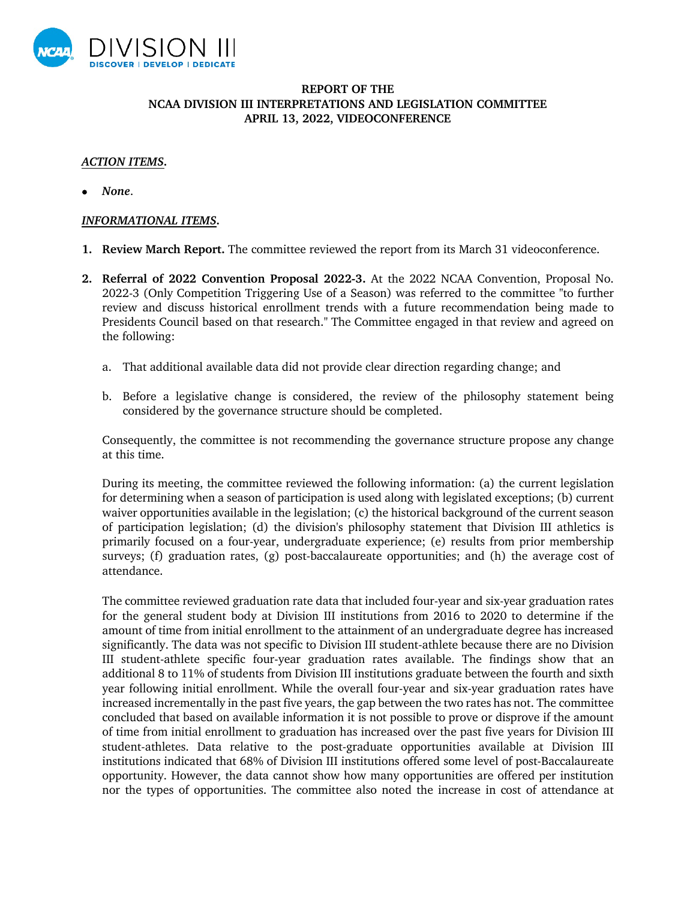

## **REPORT OF THE NCAA DIVISION III INTERPRETATIONS AND LEGISLATION COMMITTEE APRIL 13, 2022, VIDEOCONFERENCE**

## *ACTION ITEMS.*

• *None*.

## *INFORMATIONAL ITEMS.*

- **1. Review March Report.** The committee reviewed the report from its March 31 videoconference.
- **2. Referral of 2022 Convention Proposal 2022-3.** At the 2022 NCAA Convention, Proposal No. 2022-3 (Only Competition Triggering Use of a Season) was referred to the committee "to further review and discuss historical enrollment trends with a future recommendation being made to Presidents Council based on that research." The Committee engaged in that review and agreed on the following:
	- a. That additional available data did not provide clear direction regarding change; and
	- b. Before a legislative change is considered, the review of the philosophy statement being considered by the governance structure should be completed.

Consequently, the committee is not recommending the governance structure propose any change at this time.

During its meeting, the committee reviewed the following information: (a) the current legislation for determining when a season of participation is used along with legislated exceptions; (b) current waiver opportunities available in the legislation; (c) the historical background of the current season of participation legislation; (d) the division's philosophy statement that Division III athletics is primarily focused on a four-year, undergraduate experience; (e) results from prior membership surveys; (f) graduation rates, (g) post-baccalaureate opportunities; and (h) the average cost of attendance.

The committee reviewed graduation rate data that included four-year and six-year graduation rates for the general student body at Division III institutions from 2016 to 2020 to determine if the amount of time from initial enrollment to the attainment of an undergraduate degree has increased significantly. The data was not specific to Division III student-athlete because there are no Division III student-athlete specific four-year graduation rates available. The findings show that an additional 8 to 11% of students from Division III institutions graduate between the fourth and sixth year following initial enrollment. While the overall four-year and six-year graduation rates have increased incrementally in the past five years, the gap between the two rates has not. The committee concluded that based on available information it is not possible to prove or disprove if the amount of time from initial enrollment to graduation has increased over the past five years for Division III student-athletes. Data relative to the post-graduate opportunities available at Division III institutions indicated that 68% of Division III institutions offered some level of post-Baccalaureate opportunity. However, the data cannot show how many opportunities are offered per institution nor the types of opportunities. The committee also noted the increase in cost of attendance at